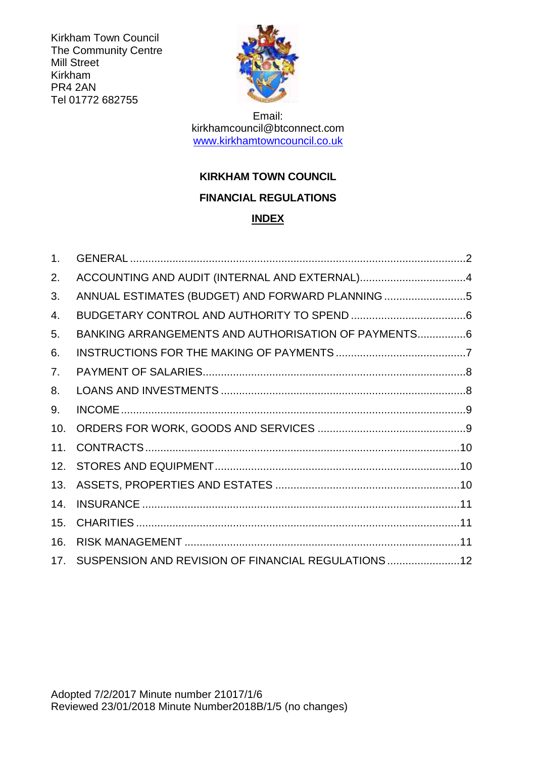Kirkham Town Council The Community Centre Mill Street Kirkham PR4 2AN Tel 01772 682755



Email: kirkhamcouncil@btconnect.com [www.kirkhamtowncouncil.co.uk](http://www.kirkhamtowncouncil.co.uk/)

# **KIRKHAM TOWN COUNCIL FINANCIAL REGULATIONS**

# **INDEX**

| 1.  |                                                      |  |
|-----|------------------------------------------------------|--|
| 2.  | ACCOUNTING AND AUDIT (INTERNAL AND EXTERNAL)4        |  |
| 3.  | ANNUAL ESTIMATES (BUDGET) AND FORWARD PLANNING 5     |  |
| 4.  |                                                      |  |
| 5.  | BANKING ARRANGEMENTS AND AUTHORISATION OF PAYMENTS6  |  |
| 6.  |                                                      |  |
| 7.  |                                                      |  |
| 8.  |                                                      |  |
| 9.  |                                                      |  |
| 10. |                                                      |  |
| 11. |                                                      |  |
| 12. |                                                      |  |
| 13. |                                                      |  |
| 14. |                                                      |  |
| 15. |                                                      |  |
| 16. |                                                      |  |
| 17. | SUSPENSION AND REVISION OF FINANCIAL REGULATIONS  12 |  |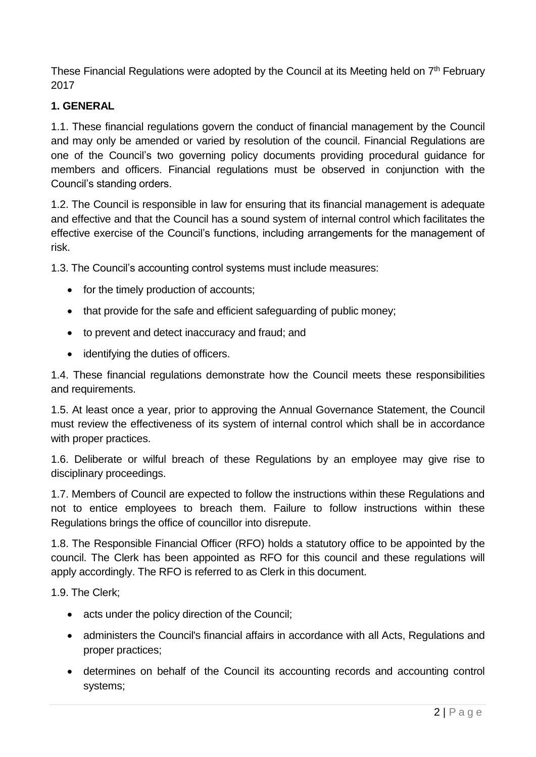These Financial Regulations were adopted by the Council at its Meeting held on 7<sup>th</sup> February 2017

# **1. GENERAL**

1.1. These financial regulations govern the conduct of financial management by the Council and may only be amended or varied by resolution of the council. Financial Regulations are one of the Council's two governing policy documents providing procedural guidance for members and officers. Financial regulations must be observed in conjunction with the Council's standing orders.

1.2. The Council is responsible in law for ensuring that its financial management is adequate and effective and that the Council has a sound system of internal control which facilitates the effective exercise of the Council's functions, including arrangements for the management of risk.

1.3. The Council's accounting control systems must include measures:

- for the timely production of accounts;
- that provide for the safe and efficient safeguarding of public money;
- to prevent and detect inaccuracy and fraud; and
- identifying the duties of officers.

1.4. These financial regulations demonstrate how the Council meets these responsibilities and requirements.

1.5. At least once a year, prior to approving the Annual Governance Statement, the Council must review the effectiveness of its system of internal control which shall be in accordance with proper practices.

1.6. Deliberate or wilful breach of these Regulations by an employee may give rise to disciplinary proceedings.

1.7. Members of Council are expected to follow the instructions within these Regulations and not to entice employees to breach them. Failure to follow instructions within these Regulations brings the office of councillor into disrepute.

1.8. The Responsible Financial Officer (RFO) holds a statutory office to be appointed by the council. The Clerk has been appointed as RFO for this council and these regulations will apply accordingly. The RFO is referred to as Clerk in this document.

1.9. The Clerk;

- acts under the policy direction of the Council;
- administers the Council's financial affairs in accordance with all Acts. Regulations and proper practices;
- determines on behalf of the Council its accounting records and accounting control systems;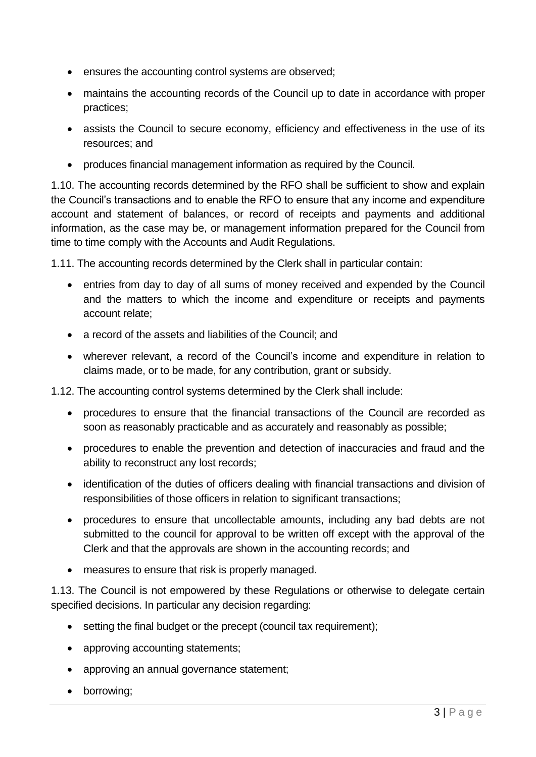- ensures the accounting control systems are observed;
- maintains the accounting records of the Council up to date in accordance with proper practices;
- assists the Council to secure economy, efficiency and effectiveness in the use of its resources; and
- produces financial management information as required by the Council.

1.10. The accounting records determined by the RFO shall be sufficient to show and explain the Council's transactions and to enable the RFO to ensure that any income and expenditure account and statement of balances, or record of receipts and payments and additional information, as the case may be, or management information prepared for the Council from time to time comply with the Accounts and Audit Regulations.

1.11. The accounting records determined by the Clerk shall in particular contain:

- entries from day to day of all sums of money received and expended by the Council and the matters to which the income and expenditure or receipts and payments account relate;
- a record of the assets and liabilities of the Council; and
- wherever relevant, a record of the Council's income and expenditure in relation to claims made, or to be made, for any contribution, grant or subsidy.
- 1.12. The accounting control systems determined by the Clerk shall include:
	- procedures to ensure that the financial transactions of the Council are recorded as soon as reasonably practicable and as accurately and reasonably as possible;
	- procedures to enable the prevention and detection of inaccuracies and fraud and the ability to reconstruct any lost records;
	- identification of the duties of officers dealing with financial transactions and division of responsibilities of those officers in relation to significant transactions;
	- procedures to ensure that uncollectable amounts, including any bad debts are not submitted to the council for approval to be written off except with the approval of the Clerk and that the approvals are shown in the accounting records; and
	- measures to ensure that risk is properly managed.

1.13. The Council is not empowered by these Regulations or otherwise to delegate certain specified decisions. In particular any decision regarding:

- setting the final budget or the precept (council tax requirement);
- approving accounting statements;
- approving an annual governance statement;
- borrowing;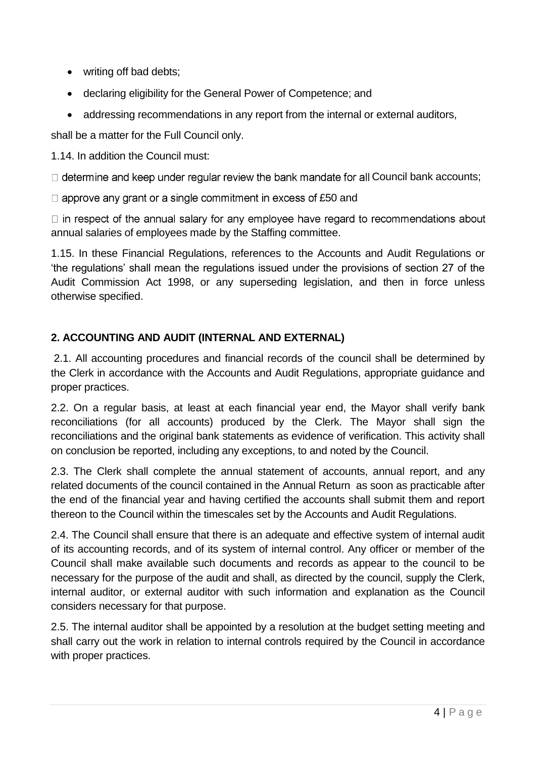- writing off bad debts;
- declaring eligibility for the General Power of Competence; and
- addressing recommendations in any report from the internal or external auditors,

shall be a matter for the Full Council only.

1.14. In addition the Council must:

 $\Box$  determine and keep under regular review the bank mandate for all Council bank accounts;

 $\Box$  approve any grant or a single commitment in excess of £50 and

 $\Box$  in respect of the annual salary for any employee have regard to recommendations about annual salaries of employees made by the Staffing committee.

1.15. In these Financial Regulations, references to the Accounts and Audit Regulations or 'the regulations' shall mean the regulations issued under the provisions of section 27 of the Audit Commission Act 1998, or any superseding legislation, and then in force unless otherwise specified.

# **2. ACCOUNTING AND AUDIT (INTERNAL AND EXTERNAL)**

2.1. All accounting procedures and financial records of the council shall be determined by the Clerk in accordance with the Accounts and Audit Regulations, appropriate guidance and proper practices.

2.2. On a regular basis, at least at each financial year end, the Mayor shall verify bank reconciliations (for all accounts) produced by the Clerk. The Mayor shall sign the reconciliations and the original bank statements as evidence of verification. This activity shall on conclusion be reported, including any exceptions, to and noted by the Council.

2.3. The Clerk shall complete the annual statement of accounts, annual report, and any related documents of the council contained in the Annual Return as soon as practicable after the end of the financial year and having certified the accounts shall submit them and report thereon to the Council within the timescales set by the Accounts and Audit Regulations.

2.4. The Council shall ensure that there is an adequate and effective system of internal audit of its accounting records, and of its system of internal control. Any officer or member of the Council shall make available such documents and records as appear to the council to be necessary for the purpose of the audit and shall, as directed by the council, supply the Clerk, internal auditor, or external auditor with such information and explanation as the Council considers necessary for that purpose.

2.5. The internal auditor shall be appointed by a resolution at the budget setting meeting and shall carry out the work in relation to internal controls required by the Council in accordance with proper practices.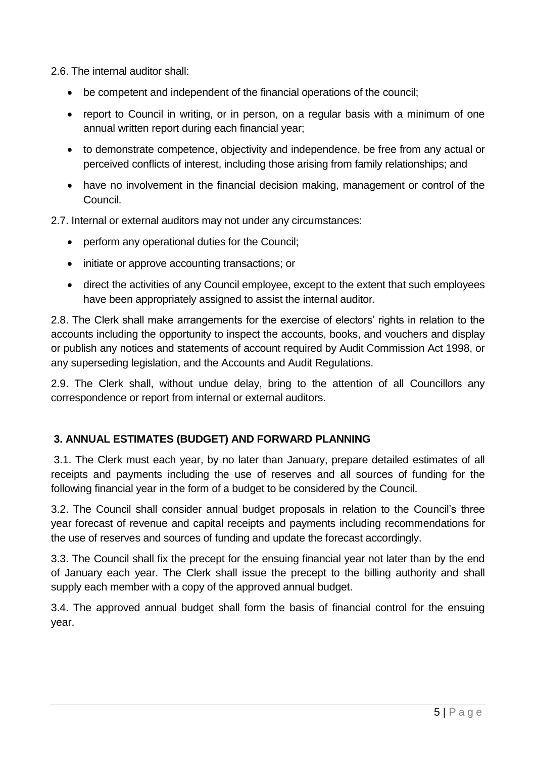2.6. The internal auditor shall:

- be competent and independent of the financial operations of the council;
- report to Council in writing, or in person, on a regular basis with a minimum of one annual written report during each financial year;
- to demonstrate competence, objectivity and independence, be free from any actual or perceived conflicts of interest, including those arising from family relationships; and
- have no involvement in the financial decision making, management or control of the Council.

2.7. Internal or external auditors may not under any circumstances:

- perform any operational duties for the Council;
- initiate or approve accounting transactions; or
- direct the activities of any Council employee, except to the extent that such employees have been appropriately assigned to assist the internal auditor.

2.8. The Clerk shall make arrangements for the exercise of electors' rights in relation to the accounts including the opportunity to inspect the accounts, books, and vouchers and display or publish any notices and statements of account required by Audit Commission Act 1998, or any superseding legislation, and the Accounts and Audit Regulations.

2.9. The Clerk shall, without undue delay, bring to the attention of all Councillors any correspondence or report from internal or external auditors.

# **3. ANNUAL ESTIMATES (BUDGET) AND FORWARD PLANNING**

3.1. The Clerk must each year, by no later than January, prepare detailed estimates of all receipts and payments including the use of reserves and all sources of funding for the following financial year in the form of a budget to be considered by the Council.

3.2. The Council shall consider annual budget proposals in relation to the Council's three year forecast of revenue and capital receipts and payments including recommendations for the use of reserves and sources of funding and update the forecast accordingly.

3.3. The Council shall fix the precept for the ensuing financial year not later than by the end of January each year. The Clerk shall issue the precept to the billing authority and shall supply each member with a copy of the approved annual budget.

3.4. The approved annual budget shall form the basis of financial control for the ensuing year.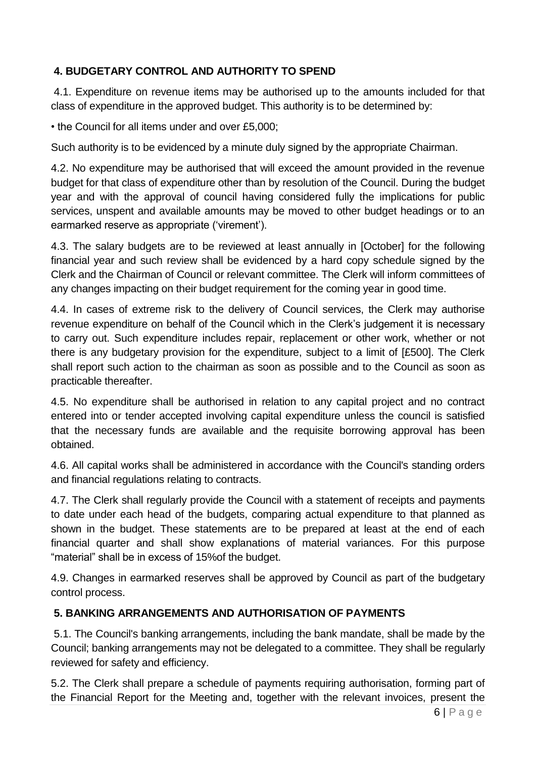# **4. BUDGETARY CONTROL AND AUTHORITY TO SPEND**

4.1. Expenditure on revenue items may be authorised up to the amounts included for that class of expenditure in the approved budget. This authority is to be determined by:

• the Council for all items under and over £5,000;

Such authority is to be evidenced by a minute duly signed by the appropriate Chairman.

4.2. No expenditure may be authorised that will exceed the amount provided in the revenue budget for that class of expenditure other than by resolution of the Council. During the budget year and with the approval of council having considered fully the implications for public services, unspent and available amounts may be moved to other budget headings or to an earmarked reserve as appropriate ('virement').

4.3. The salary budgets are to be reviewed at least annually in [October] for the following financial year and such review shall be evidenced by a hard copy schedule signed by the Clerk and the Chairman of Council or relevant committee. The Clerk will inform committees of any changes impacting on their budget requirement for the coming year in good time.

4.4. In cases of extreme risk to the delivery of Council services, the Clerk may authorise revenue expenditure on behalf of the Council which in the Clerk's judgement it is necessary to carry out. Such expenditure includes repair, replacement or other work, whether or not there is any budgetary provision for the expenditure, subject to a limit of [£500]. The Clerk shall report such action to the chairman as soon as possible and to the Council as soon as practicable thereafter.

4.5. No expenditure shall be authorised in relation to any capital project and no contract entered into or tender accepted involving capital expenditure unless the council is satisfied that the necessary funds are available and the requisite borrowing approval has been obtained.

4.6. All capital works shall be administered in accordance with the Council's standing orders and financial regulations relating to contracts.

4.7. The Clerk shall regularly provide the Council with a statement of receipts and payments to date under each head of the budgets, comparing actual expenditure to that planned as shown in the budget. These statements are to be prepared at least at the end of each financial quarter and shall show explanations of material variances. For this purpose "material" shall be in excess of 15%of the budget.

4.9. Changes in earmarked reserves shall be approved by Council as part of the budgetary control process.

#### **5. BANKING ARRANGEMENTS AND AUTHORISATION OF PAYMENTS**

5.1. The Council's banking arrangements, including the bank mandate, shall be made by the Council; banking arrangements may not be delegated to a committee. They shall be regularly reviewed for safety and efficiency.

5.2. The Clerk shall prepare a schedule of payments requiring authorisation, forming part of the Financial Report for the Meeting and, together with the relevant invoices, present the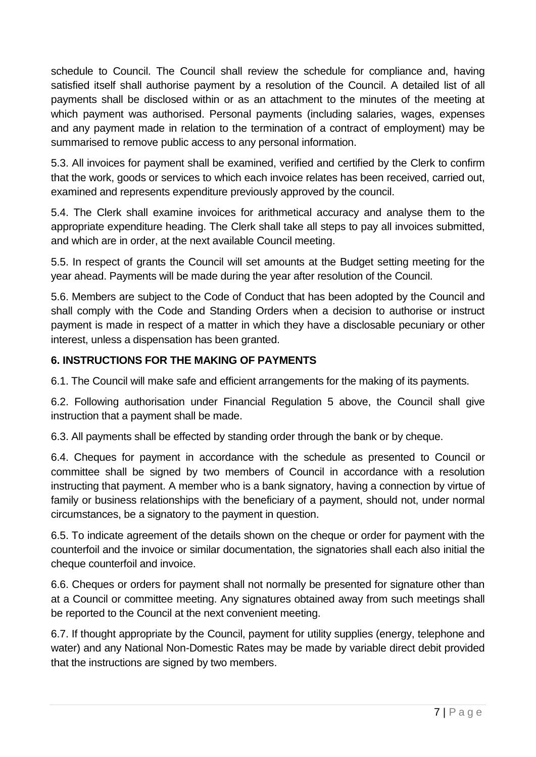schedule to Council. The Council shall review the schedule for compliance and, having satisfied itself shall authorise payment by a resolution of the Council. A detailed list of all payments shall be disclosed within or as an attachment to the minutes of the meeting at which payment was authorised. Personal payments (including salaries, wages, expenses and any payment made in relation to the termination of a contract of employment) may be summarised to remove public access to any personal information.

5.3. All invoices for payment shall be examined, verified and certified by the Clerk to confirm that the work, goods or services to which each invoice relates has been received, carried out, examined and represents expenditure previously approved by the council.

5.4. The Clerk shall examine invoices for arithmetical accuracy and analyse them to the appropriate expenditure heading. The Clerk shall take all steps to pay all invoices submitted, and which are in order, at the next available Council meeting.

5.5. In respect of grants the Council will set amounts at the Budget setting meeting for the year ahead. Payments will be made during the year after resolution of the Council.

5.6. Members are subject to the Code of Conduct that has been adopted by the Council and shall comply with the Code and Standing Orders when a decision to authorise or instruct payment is made in respect of a matter in which they have a disclosable pecuniary or other interest, unless a dispensation has been granted.

# **6. INSTRUCTIONS FOR THE MAKING OF PAYMENTS**

6.1. The Council will make safe and efficient arrangements for the making of its payments.

6.2. Following authorisation under Financial Regulation 5 above, the Council shall give instruction that a payment shall be made.

6.3. All payments shall be effected by standing order through the bank or by cheque.

6.4. Cheques for payment in accordance with the schedule as presented to Council or committee shall be signed by two members of Council in accordance with a resolution instructing that payment. A member who is a bank signatory, having a connection by virtue of family or business relationships with the beneficiary of a payment, should not, under normal circumstances, be a signatory to the payment in question.

6.5. To indicate agreement of the details shown on the cheque or order for payment with the counterfoil and the invoice or similar documentation, the signatories shall each also initial the cheque counterfoil and invoice.

6.6. Cheques or orders for payment shall not normally be presented for signature other than at a Council or committee meeting. Any signatures obtained away from such meetings shall be reported to the Council at the next convenient meeting.

6.7. If thought appropriate by the Council, payment for utility supplies (energy, telephone and water) and any National Non-Domestic Rates may be made by variable direct debit provided that the instructions are signed by two members.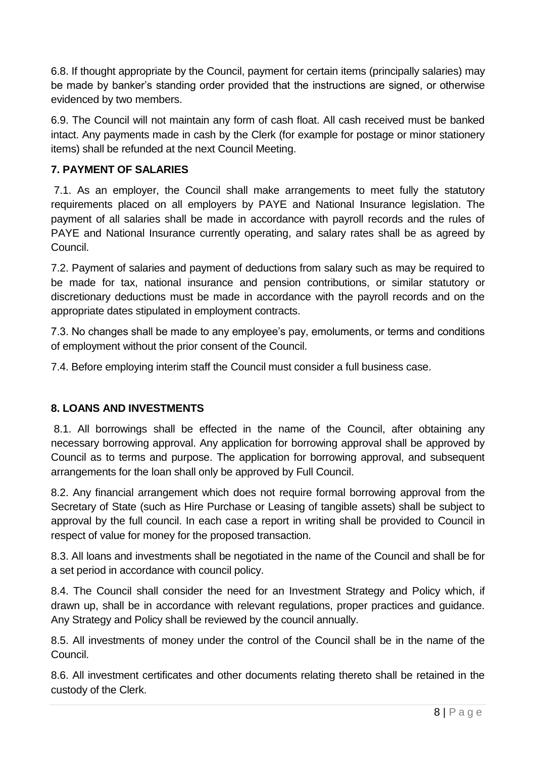6.8. If thought appropriate by the Council, payment for certain items (principally salaries) may be made by banker's standing order provided that the instructions are signed, or otherwise evidenced by two members.

6.9. The Council will not maintain any form of cash float. All cash received must be banked intact. Any payments made in cash by the Clerk (for example for postage or minor stationery items) shall be refunded at the next Council Meeting.

# **7. PAYMENT OF SALARIES**

7.1. As an employer, the Council shall make arrangements to meet fully the statutory requirements placed on all employers by PAYE and National Insurance legislation. The payment of all salaries shall be made in accordance with payroll records and the rules of PAYE and National Insurance currently operating, and salary rates shall be as agreed by Council.

7.2. Payment of salaries and payment of deductions from salary such as may be required to be made for tax, national insurance and pension contributions, or similar statutory or discretionary deductions must be made in accordance with the payroll records and on the appropriate dates stipulated in employment contracts.

7.3. No changes shall be made to any employee's pay, emoluments, or terms and conditions of employment without the prior consent of the Council.

7.4. Before employing interim staff the Council must consider a full business case.

#### **8. LOANS AND INVESTMENTS**

8.1. All borrowings shall be effected in the name of the Council, after obtaining any necessary borrowing approval. Any application for borrowing approval shall be approved by Council as to terms and purpose. The application for borrowing approval, and subsequent arrangements for the loan shall only be approved by Full Council.

8.2. Any financial arrangement which does not require formal borrowing approval from the Secretary of State (such as Hire Purchase or Leasing of tangible assets) shall be subject to approval by the full council. In each case a report in writing shall be provided to Council in respect of value for money for the proposed transaction.

8.3. All loans and investments shall be negotiated in the name of the Council and shall be for a set period in accordance with council policy.

8.4. The Council shall consider the need for an Investment Strategy and Policy which, if drawn up, shall be in accordance with relevant regulations, proper practices and guidance. Any Strategy and Policy shall be reviewed by the council annually.

8.5. All investments of money under the control of the Council shall be in the name of the Council.

8.6. All investment certificates and other documents relating thereto shall be retained in the custody of the Clerk.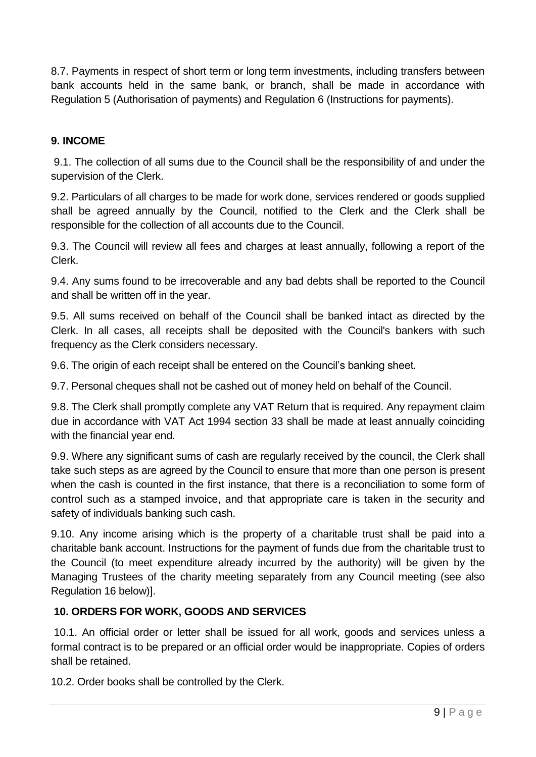8.7. Payments in respect of short term or long term investments, including transfers between bank accounts held in the same bank, or branch, shall be made in accordance with Regulation 5 (Authorisation of payments) and Regulation 6 (Instructions for payments).

### **9. INCOME**

9.1. The collection of all sums due to the Council shall be the responsibility of and under the supervision of the Clerk.

9.2. Particulars of all charges to be made for work done, services rendered or goods supplied shall be agreed annually by the Council, notified to the Clerk and the Clerk shall be responsible for the collection of all accounts due to the Council.

9.3. The Council will review all fees and charges at least annually, following a report of the Clerk.

9.4. Any sums found to be irrecoverable and any bad debts shall be reported to the Council and shall be written off in the year.

9.5. All sums received on behalf of the Council shall be banked intact as directed by the Clerk. In all cases, all receipts shall be deposited with the Council's bankers with such frequency as the Clerk considers necessary.

9.6. The origin of each receipt shall be entered on the Council's banking sheet.

9.7. Personal cheques shall not be cashed out of money held on behalf of the Council.

9.8. The Clerk shall promptly complete any VAT Return that is required. Any repayment claim due in accordance with VAT Act 1994 section 33 shall be made at least annually coinciding with the financial year end.

9.9. Where any significant sums of cash are regularly received by the council, the Clerk shall take such steps as are agreed by the Council to ensure that more than one person is present when the cash is counted in the first instance, that there is a reconciliation to some form of control such as a stamped invoice, and that appropriate care is taken in the security and safety of individuals banking such cash.

9.10. Any income arising which is the property of a charitable trust shall be paid into a charitable bank account. Instructions for the payment of funds due from the charitable trust to the Council (to meet expenditure already incurred by the authority) will be given by the Managing Trustees of the charity meeting separately from any Council meeting (see also Regulation 16 below)].

#### **10. ORDERS FOR WORK, GOODS AND SERVICES**

10.1. An official order or letter shall be issued for all work, goods and services unless a formal contract is to be prepared or an official order would be inappropriate. Copies of orders shall be retained.

10.2. Order books shall be controlled by the Clerk.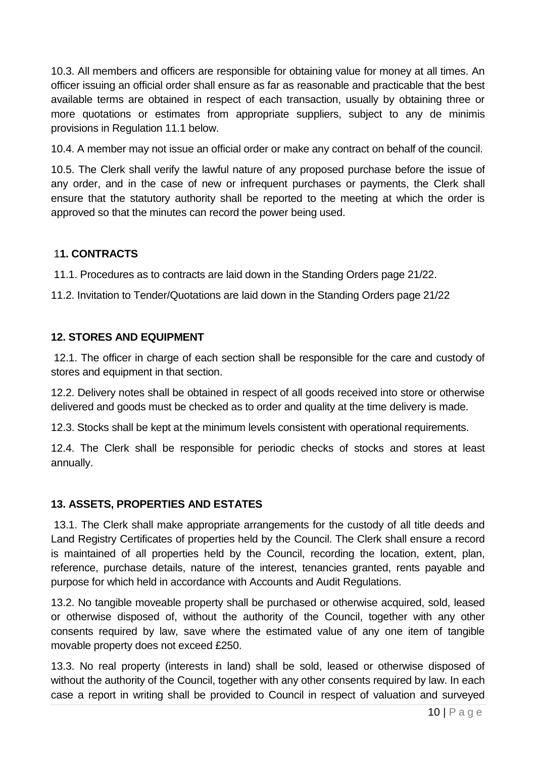10.3. All members and officers are responsible for obtaining value for money at all times. An officer issuing an official order shall ensure as far as reasonable and practicable that the best available terms are obtained in respect of each transaction, usually by obtaining three or more quotations or estimates from appropriate suppliers, subject to any de minimis provisions in Regulation 11.1 below.

10.4. A member may not issue an official order or make any contract on behalf of the council.

10.5. The Clerk shall verify the lawful nature of any proposed purchase before the issue of any order, and in the case of new or infrequent purchases or payments, the Clerk shall ensure that the statutory authority shall be reported to the meeting at which the order is approved so that the minutes can record the power being used.

#### 1**1. CONTRACTS**

11.1. Procedures as to contracts are laid down in the Standing Orders page 21/22.

11.2. Invitation to Tender/Quotations are laid down in the Standing Orders page 21/22

#### **12. STORES AND EQUIPMENT**

12.1. The officer in charge of each section shall be responsible for the care and custody of stores and equipment in that section.

12.2. Delivery notes shall be obtained in respect of all goods received into store or otherwise delivered and goods must be checked as to order and quality at the time delivery is made.

12.3. Stocks shall be kept at the minimum levels consistent with operational requirements.

12.4. The Clerk shall be responsible for periodic checks of stocks and stores at least annually.

#### **13. ASSETS, PROPERTIES AND ESTATES**

13.1. The Clerk shall make appropriate arrangements for the custody of all title deeds and Land Registry Certificates of properties held by the Council. The Clerk shall ensure a record is maintained of all properties held by the Council, recording the location, extent, plan, reference, purchase details, nature of the interest, tenancies granted, rents payable and purpose for which held in accordance with Accounts and Audit Regulations.

13.2. No tangible moveable property shall be purchased or otherwise acquired, sold, leased or otherwise disposed of, without the authority of the Council, together with any other consents required by law, save where the estimated value of any one item of tangible movable property does not exceed £250.

13.3. No real property (interests in land) shall be sold, leased or otherwise disposed of without the authority of the Council, together with any other consents required by law. In each case a report in writing shall be provided to Council in respect of valuation and surveyed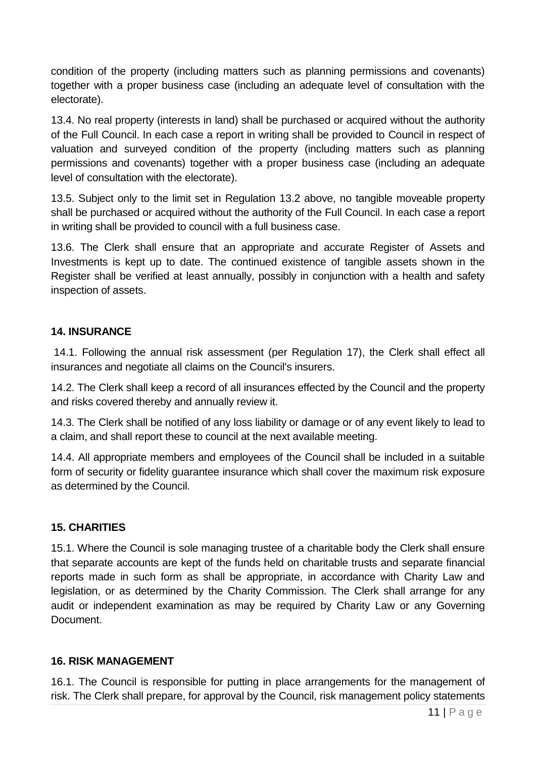condition of the property (including matters such as planning permissions and covenants) together with a proper business case (including an adequate level of consultation with the electorate).

13.4. No real property (interests in land) shall be purchased or acquired without the authority of the Full Council. In each case a report in writing shall be provided to Council in respect of valuation and surveyed condition of the property (including matters such as planning permissions and covenants) together with a proper business case (including an adequate level of consultation with the electorate).

13.5. Subject only to the limit set in Regulation 13.2 above, no tangible moveable property shall be purchased or acquired without the authority of the Full Council. In each case a report in writing shall be provided to council with a full business case.

13.6. The Clerk shall ensure that an appropriate and accurate Register of Assets and Investments is kept up to date. The continued existence of tangible assets shown in the Register shall be verified at least annually, possibly in conjunction with a health and safety inspection of assets.

### **14. INSURANCE**

14.1. Following the annual risk assessment (per Regulation 17), the Clerk shall effect all insurances and negotiate all claims on the Council's insurers.

14.2. The Clerk shall keep a record of all insurances effected by the Council and the property and risks covered thereby and annually review it.

14.3. The Clerk shall be notified of any loss liability or damage or of any event likely to lead to a claim, and shall report these to council at the next available meeting.

14.4. All appropriate members and employees of the Council shall be included in a suitable form of security or fidelity guarantee insurance which shall cover the maximum risk exposure as determined by the Council.

# **15. CHARITIES**

15.1. Where the Council is sole managing trustee of a charitable body the Clerk shall ensure that separate accounts are kept of the funds held on charitable trusts and separate financial reports made in such form as shall be appropriate, in accordance with Charity Law and legislation, or as determined by the Charity Commission. The Clerk shall arrange for any audit or independent examination as may be required by Charity Law or any Governing Document.

#### **16. RISK MANAGEMENT**

16.1. The Council is responsible for putting in place arrangements for the management of risk. The Clerk shall prepare, for approval by the Council, risk management policy statements